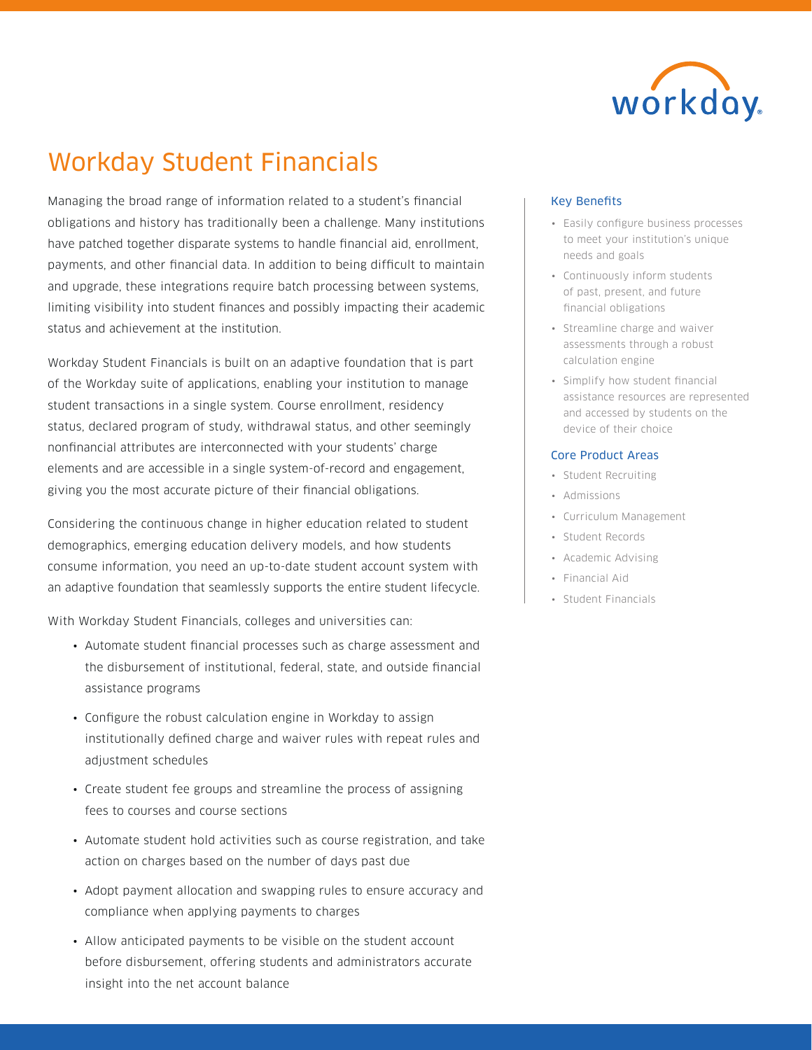

# [Workday Student Financials](https://www.workday.com/en-us/applications/student/student-financials.html)

Managing the broad range of information related to a student's financial obligations and history has traditionally been a challenge. Many institutions have patched together disparate systems to handle financial aid, enrollment, payments, and other financial data. In addition to being difficult to maintain and upgrade, these integrations require batch processing between systems, limiting visibility into student finances and possibly impacting their academic status and achievement at the institution.

Workday Student Financials is built on an adaptive foundation that is part of the Workday suite of applications, enabling your institution to manage student transactions in a single system. Course enrollment, residency status, declared program of study, withdrawal status, and other seemingly nonfinancial attributes are interconnected with your students' charge elements and are accessible in a single system-of-record and engagement, giving you the most accurate picture of their financial obligations.

Considering the continuous change in higher education related to student demographics, emerging education delivery models, and how students consume information, you need an up-to-date student account system with an adaptive foundation that seamlessly supports the entire student lifecycle.

With Workday Student Financials, colleges and universities can:

- Automate student financial processes such as charge assessment and the disbursement of institutional, federal, state, and outside financial assistance programs
- Configure the robust calculation engine in Workday to assign institutionally defined charge and waiver rules with repeat rules and adjustment schedules
- Create student fee groups and streamline the process of assigning fees to courses and course sections
- Automate student hold activities such as course registration, and take action on charges based on the number of days past due
- Adopt payment allocation and swapping rules to ensure accuracy and compliance when applying payments to charges
- Allow anticipated payments to be visible on the student account before disbursement, offering students and administrators accurate insight into the net account balance

## Key Benefits

- Easily configure business processes to meet your institution's unique needs and goals
- Continuously inform students of past, present, and future financial obligations
- Streamline charge and waiver assessments through a robust calculation engine
- Simplify how student financial assistance resources are represented and accessed by students on the device of their choice

# Core Product Areas

- Student Recruiting
- Admissions
- Curriculum Management
- Student Records
- Academic Advising
- Financial Aid
- Student Financials